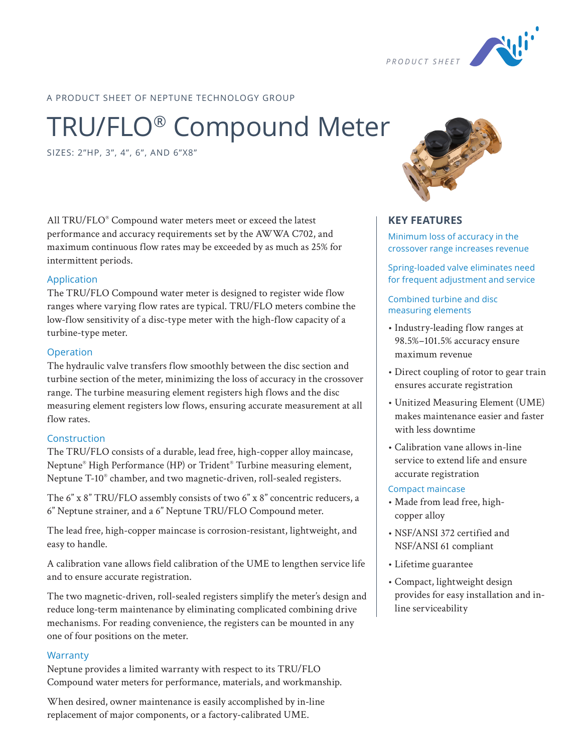

A PRODUCT SHEET OF NEPTUNE TECHNOLOGY GROUP

# TRU/FLO® Compound Meter

SIZES: 2"HP, 3", 4", 6", AND 6"X8"

All TRU/FLO® Compound water meters meet or exceed the latest performance and accuracy requirements set by the AWWA C702, and maximum continuous flow rates may be exceeded by as much as 25% for intermittent periods.

#### Application

The TRU/FLO Compound water meter is designed to register wide flow ranges where varying flow rates are typical. TRU/FLO meters combine the low-flow sensitivity of a disc-type meter with the high-flow capacity of a turbine-type meter.

#### Operation

The hydraulic valve transfers flow smoothly between the disc section and turbine section of the meter, minimizing the loss of accuracy in the crossover range. The turbine measuring element registers high flows and the disc measuring element registers low flows, ensuring accurate measurement at all flow rates.

## Construction

The TRU/FLO consists of a durable, lead free, high-copper alloy maincase, Neptune® High Performance (HP) or Trident® Turbine measuring element, Neptune T-10® chamber, and two magnetic-driven, roll-sealed registers.

The 6" x 8" TRU/FLO assembly consists of two 6" x 8" concentric reducers, a 6" Neptune strainer, and a 6" Neptune TRU/FLO Compound meter.

The lead free, high-copper maincase is corrosion-resistant, lightweight, and easy to handle.

A calibration vane allows field calibration of the UME to lengthen service life and to ensure accurate registration.

The two magnetic-driven, roll-sealed registers simplify the meter's design and reduce long-term maintenance by eliminating complicated combining drive mechanisms. For reading convenience, the registers can be mounted in any one of four positions on the meter.

## **Warranty**

Neptune provides a limited warranty with respect to its TRU/FLO Compound water meters for performance, materials, and workmanship.

When desired, owner maintenance is easily accomplished by in-line replacement of major components, or a factory-calibrated UME.



## **KEY FEATURES**

Minimum loss of accuracy in the crossover range increases revenue

Spring-loaded valve eliminates need for frequent adjustment and service

Combined turbine and disc measuring elements

- Industry-leading flow ranges at 98.5%–101.5% accuracy ensure maximum revenue
- Direct coupling of rotor to gear train ensures accurate registration
- Unitized Measuring Element (UME) makes maintenance easier and faster with less downtime
- Calibration vane allows in-line service to extend life and ensure accurate registration

#### Compact maincase

- Made from lead free, highcopper alloy
- NSF/ANSI 372 certified and NSF/ANSI 61 compliant
- Lifetime guarantee
- Compact, lightweight design provides for easy installation and inline serviceability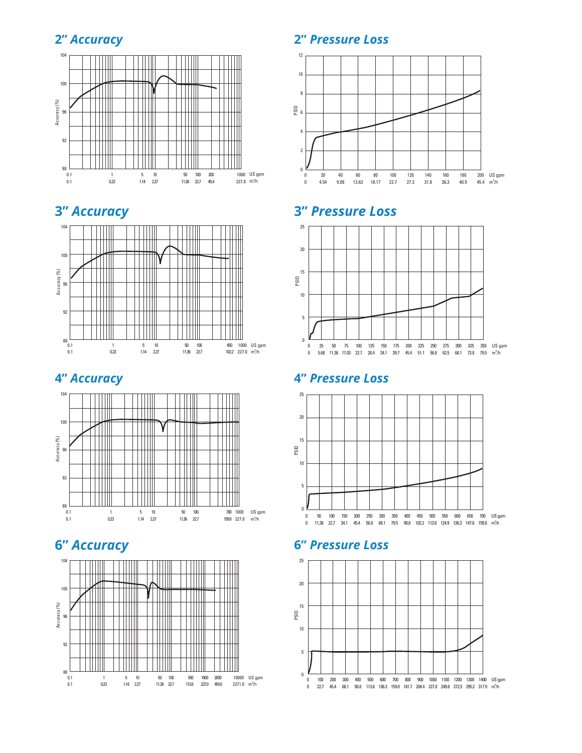## **2"** *Accuracy*



## **3"** *Accuracy*



## **4"** *Accuracy*



## **6"** *Accuracy*



## **2"** *Pressure Loss*



## **3"** *Pressure Loss*



## **4"** *Pressure Loss*



## **6"** *Pressure Loss*

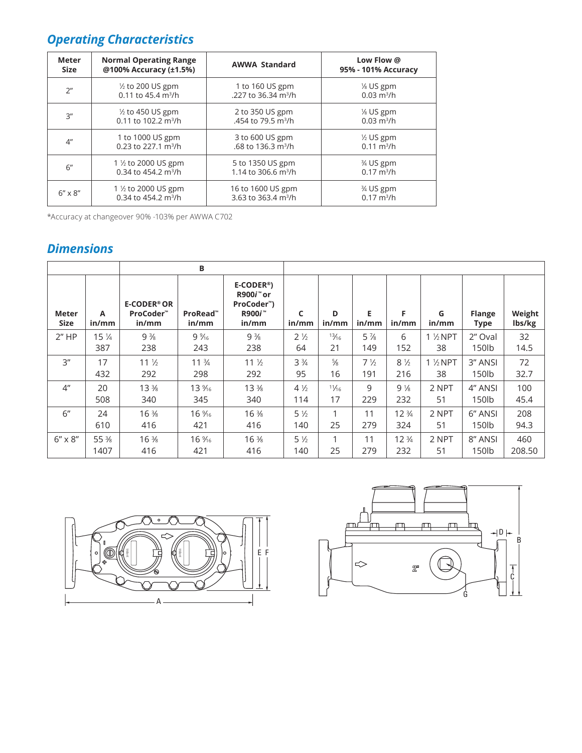## *Operating Characteristics*

| Meter            | <b>Normal Operating Range</b>     | <b>AWWA Standard</b>            | Low Flow @               |  |  |
|------------------|-----------------------------------|---------------------------------|--------------------------|--|--|
| <b>Size</b>      | @100% Accuracy (±1.5%)            |                                 | 95% - 101% Accuracy      |  |  |
| 2 <sup>n</sup>   | $\frac{1}{2}$ to 200 US gpm       | 1 to 160 US gpm                 | $\frac{1}{8}$ US gpm     |  |  |
|                  | 0.11 to 45.4 $m^3/h$              | .227 to 36.34 m <sup>3</sup> /h | $0.03$ m <sup>3</sup> /h |  |  |
| 3''              | $\frac{1}{2}$ to 450 US gpm       | 2 to 350 US gpm                 | $\frac{1}{8}$ US gpm     |  |  |
|                  | $0.11$ to 102.2 m <sup>3</sup> /h | .454 to 79.5 m <sup>3</sup> /h  | $0.03$ m <sup>3</sup> /h |  |  |
| 4 <sup>''</sup>  | 1 to 1000 US gpm                  | 3 to 600 US gpm                 | $\frac{1}{2}$ US gpm     |  |  |
|                  | $0.23$ to 227.1 m <sup>3</sup> /h | .68 to 136.3 m <sup>3</sup> /h  | $0.11 \text{ m}^3/h$     |  |  |
| 6"               | 1 ½ to 2000 US gpm                | 5 to 1350 US gpm                | $\frac{3}{4}$ US gpm     |  |  |
|                  | 0.34 to 454.2 $m^3/h$             | 1.14 to 306.6 m <sup>3</sup> /h | $0.17 \text{ m}^3/h$     |  |  |
| $6'' \times 8''$ | 1 ½ to 2000 US gpm                | 16 to 1600 US gpm               | $\frac{3}{4}$ US gpm     |  |  |
|                  | 0.34 to 454.2 $m^3/h$             | 3.63 to 363.4 m <sup>3</sup> /h | $0.17 \text{ m}^3/h$     |  |  |

\*Accuracy at changeover 90% -103% per AWWA C702

## *Dimensions*

| B                    |                 |                                                    |                   |                                                                                                    |                |               |                |                 |                    |                              |                  |
|----------------------|-----------------|----------------------------------------------------|-------------------|----------------------------------------------------------------------------------------------------|----------------|---------------|----------------|-----------------|--------------------|------------------------------|------------------|
| <b>Meter</b><br>Size | Α<br>in/mm      | <b>E-CODER<sup>®</sup>OR</b><br>ProCoder™<br>in/mm | ProRead™<br>in/mm | $E-CODER®$<br>R900 <i>i</i> <sup>™</sup> or<br>ProCoder <sup>™</sup> )<br>R900 <i>i</i> ™<br>in/mm | C<br>in/mm     | D<br>in/mm    | E<br>in/mm     | F<br>in/mm      | G<br>in/mm         | <b>Flange</b><br><b>Type</b> | Weight<br>lbs/kg |
| 2"HP                 | $15\frac{1}{4}$ | $9\frac{3}{8}$                                     | $9\frac{9}{16}$   | $9\frac{3}{8}$                                                                                     | $2\frac{1}{2}$ | 13/16         | $5\frac{7}{8}$ | 6               | $1\frac{1}{2}$ NPT | 2" Oval                      | 32               |
|                      | 387             | 238                                                | 243               | 238                                                                                                | 64             | 21            | 149            | 152             | 38                 | 150lb                        | 14.5             |
| 3''                  | 17              | $11\frac{1}{2}$                                    | $11 \frac{3}{4}$  | 11 <sup>1</sup> / <sub>2</sub>                                                                     | $3\frac{3}{4}$ | $\frac{5}{8}$ | $7\frac{1}{2}$ | $8\frac{1}{2}$  | $1\frac{1}{2}$ NPT | 3" ANSI                      | 72               |
|                      | 432             | 292                                                | 298               | 292                                                                                                | 95             | 16            | 191            | 216             | 38                 | 150lb                        | 32.7             |
| 4 <sup>''</sup>      | 20              | $13\frac{3}{8}$                                    | 13 %6             | $13\frac{3}{8}$                                                                                    | $4\frac{1}{2}$ | 11/16         | 9              | $9\frac{1}{8}$  | 2 NPT              | 4" ANSI                      | 100              |
|                      | 508             | 340                                                | 345               | 340                                                                                                | 114            | 17            | 229            | 232             | 51                 | 150lb                        | 45.4             |
| 6"                   | 24              | 16 %                                               | 16 %              | $16\frac{3}{8}$                                                                                    | $5\frac{1}{2}$ | 1             | 11             | $12\frac{3}{4}$ | 2 NPT              | 6" ANSI                      | 208              |
|                      | 610             | 416                                                | 421               | 416                                                                                                | 140            | 25            | 279            | 324             | 51                 | 150lb                        | 94.3             |
| $6'' \times 8''$     | 55 %            | 16 %                                               | 16 %6             | $16\frac{3}{8}$                                                                                    | $5\frac{1}{2}$ | 1             | 11             | $12\frac{3}{4}$ | 2 NPT              | 8" ANSI                      | 460              |
|                      | 1407            | 416                                                | 421               | 416                                                                                                | 140            | 25            | 279            | 232             | 51                 | 150 <sub>1</sub> b           | 208.50           |